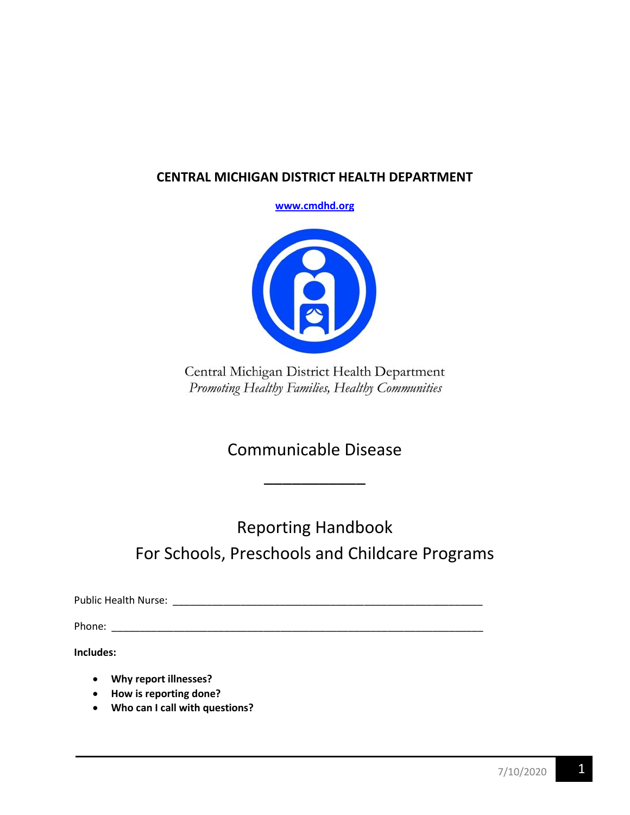# **CENTRAL MICHIGAN DISTRICT HEALTH DEPARTMENT**

**[www.cmdhd.org](http://www.cmdhd.org/)**



Central Michigan District Health Department Promoting Healthy Families, Healthy Communities

Communicable Disease

\_\_\_\_\_\_\_\_\_\_\_

Reporting Handbook For Schools, Preschools and Childcare Programs

Public Health Nurse: \_\_\_\_\_\_\_\_\_\_\_\_\_\_\_\_\_\_\_\_\_\_\_\_\_\_\_\_\_\_\_\_\_\_\_\_\_\_\_\_\_\_\_\_\_\_\_\_\_\_\_\_\_\_\_

Phone: \_\_\_\_\_\_\_\_\_\_\_\_\_\_\_\_\_\_\_\_\_\_\_\_\_\_\_\_\_\_\_\_\_\_\_\_\_\_\_\_\_\_\_\_\_\_\_\_\_\_\_\_\_\_\_\_\_\_\_\_\_\_\_\_\_\_

**Includes:**

- **Why report illnesses?**
- **How is reporting done?**
- **Who can I call with questions?**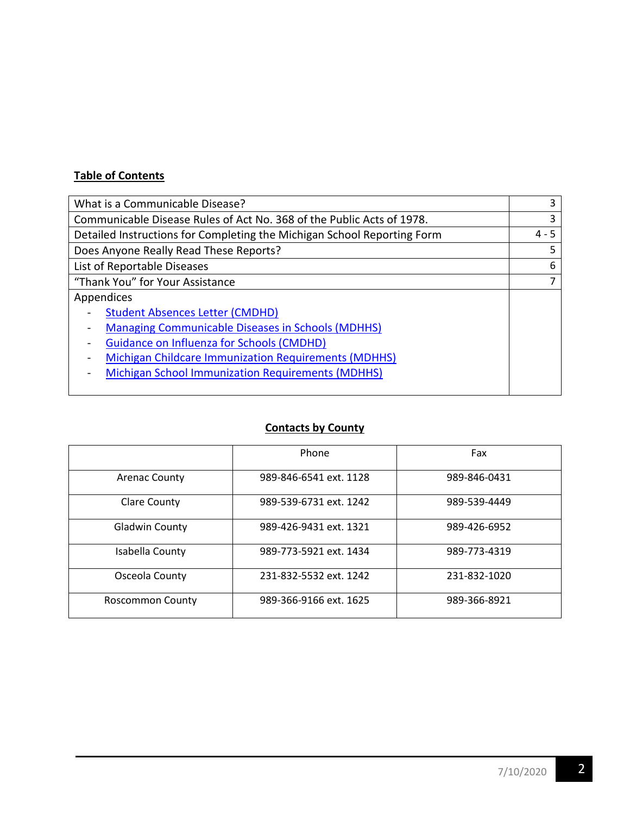## **Table of Contents**

| What is a Communicable Disease?                                         |  |
|-------------------------------------------------------------------------|--|
| Communicable Disease Rules of Act No. 368 of the Public Acts of 1978.   |  |
| Detailed Instructions for Completing the Michigan School Reporting Form |  |
| Does Anyone Really Read These Reports?                                  |  |
| List of Reportable Diseases                                             |  |
| "Thank You" for Your Assistance                                         |  |
| Appendices                                                              |  |
| <b>Student Absences Letter (CMDHD)</b>                                  |  |
| <b>Managing Communicable Diseases in Schools (MDHHS)</b>                |  |
| <b>Guidance on Influenza for Schools (CMDHD)</b>                        |  |
| <b>Michigan Childcare Immunization Requirements (MDHHS)</b>             |  |
| <b>Michigan School Immunization Requirements (MDHHS)</b>                |  |
|                                                                         |  |

# **Contacts by County**

|                         | Phone                  | Fax          |
|-------------------------|------------------------|--------------|
| <b>Arenac County</b>    | 989-846-6541 ext. 1128 | 989-846-0431 |
| Clare County            | 989-539-6731 ext. 1242 | 989-539-4449 |
| <b>Gladwin County</b>   | 989-426-9431 ext. 1321 | 989-426-6952 |
| Isabella County         | 989-773-5921 ext. 1434 | 989-773-4319 |
| Osceola County          | 231-832-5532 ext. 1242 | 231-832-1020 |
| <b>Roscommon County</b> | 989-366-9166 ext. 1625 | 989-366-8921 |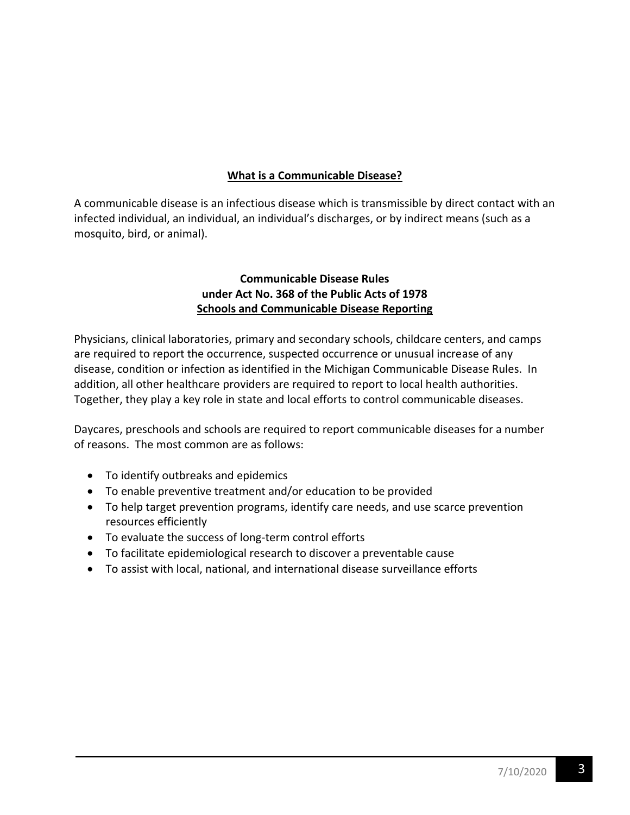## **What is a Communicable Disease?**

A communicable disease is an infectious disease which is transmissible by direct contact with an infected individual, an individual, an individual's discharges, or by indirect means (such as a mosquito, bird, or animal).

## **Communicable Disease Rules under Act No. 368 of the Public Acts of 1978 Schools and Communicable Disease Reporting**

Physicians, clinical laboratories, primary and secondary schools, childcare centers, and camps are required to report the occurrence, suspected occurrence or unusual increase of any disease, condition or infection as identified in the Michigan Communicable Disease Rules. In addition, all other healthcare providers are required to report to local health authorities. Together, they play a key role in state and local efforts to control communicable diseases.

Daycares, preschools and schools are required to report communicable diseases for a number of reasons. The most common are as follows:

- To identify outbreaks and epidemics
- To enable preventive treatment and/or education to be provided
- To help target prevention programs, identify care needs, and use scarce prevention resources efficiently
- To evaluate the success of long-term control efforts
- To facilitate epidemiological research to discover a preventable cause
- To assist with local, national, and international disease surveillance efforts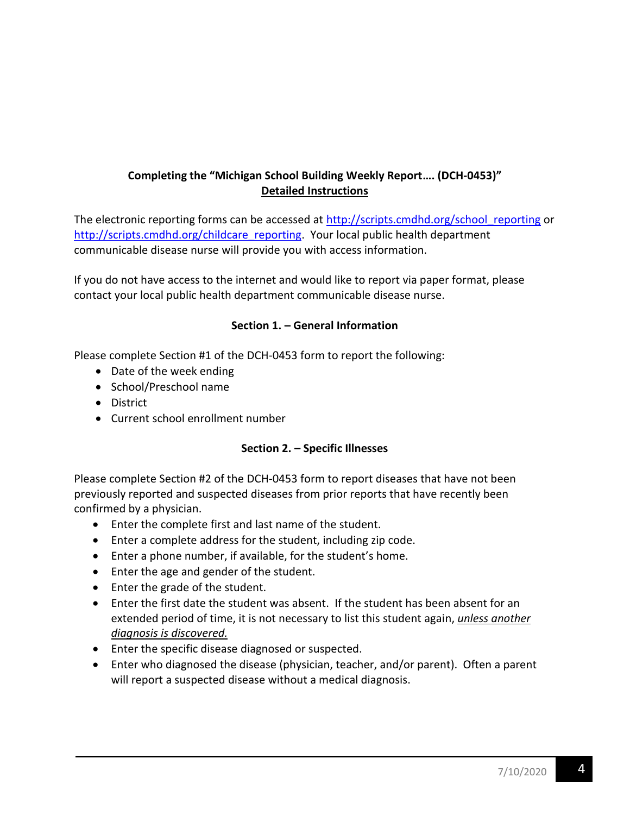# **Completing the "Michigan School Building Weekly Report…. (DCH-0453)" Detailed Instructions**

The electronic reporting forms can be accessed at http://scripts.cmdhd.org/school reporting or [http://scripts.cmdhd.org/childcare\\_reporting.](http://scripts.cmdhd.org/childcare_reporting) Your local public health department communicable disease nurse will provide you with access information.

If you do not have access to the internet and would like to report via paper format, please contact your local public health department communicable disease nurse.

### **Section 1. – General Information**

Please complete Section #1 of the DCH-0453 form to report the following:

- Date of the week ending
- School/Preschool name
- District
- Current school enrollment number

#### **Section 2. – Specific Illnesses**

Please complete Section #2 of the DCH-0453 form to report diseases that have not been previously reported and suspected diseases from prior reports that have recently been confirmed by a physician.

- Enter the complete first and last name of the student.
- Enter a complete address for the student, including zip code.
- Enter a phone number, if available, for the student's home.
- Enter the age and gender of the student.
- Enter the grade of the student.
- Enter the first date the student was absent. If the student has been absent for an extended period of time, it is not necessary to list this student again, *unless another diagnosis is discovered.*
- Enter the specific disease diagnosed or suspected.
- Enter who diagnosed the disease (physician, teacher, and/or parent). Often a parent will report a suspected disease without a medical diagnosis.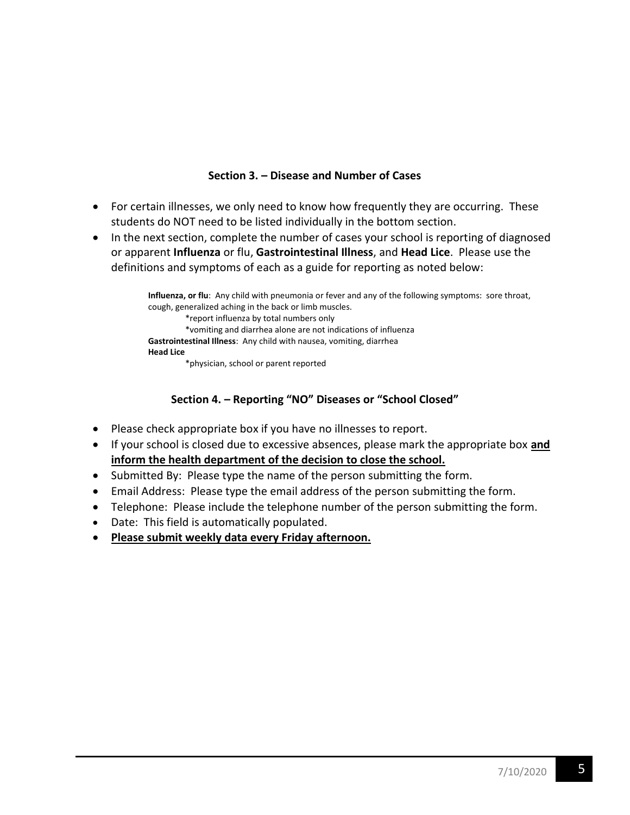### **Section 3. – Disease and Number of Cases**

- For certain illnesses, we only need to know how frequently they are occurring. These students do NOT need to be listed individually in the bottom section.
- In the next section, complete the number of cases your school is reporting of diagnosed or apparent **Influenza** or flu, **Gastrointestinal Illness**, and **Head Lice**. Please use the definitions and symptoms of each as a guide for reporting as noted below:

**Influenza, or flu**: Any child with pneumonia or fever and any of the following symptoms: sore throat, cough, generalized aching in the back or limb muscles. \*report influenza by total numbers only \*vomiting and diarrhea alone are not indications of influenza **Gastrointestinal Illness**: Any child with nausea, vomiting, diarrhea **Head Lice** \*physician, school or parent reported

## **Section 4. – Reporting "NO" Diseases or "School Closed"**

- Please check appropriate box if you have no illnesses to report.
- If your school is closed due to excessive absences, please mark the appropriate box **and inform the health department of the decision to close the school.**
- Submitted By: Please type the name of the person submitting the form.
- Email Address: Please type the email address of the person submitting the form.
- Telephone: Please include the telephone number of the person submitting the form.
- Date: This field is automatically populated.
- **Please submit weekly data every Friday afternoon.**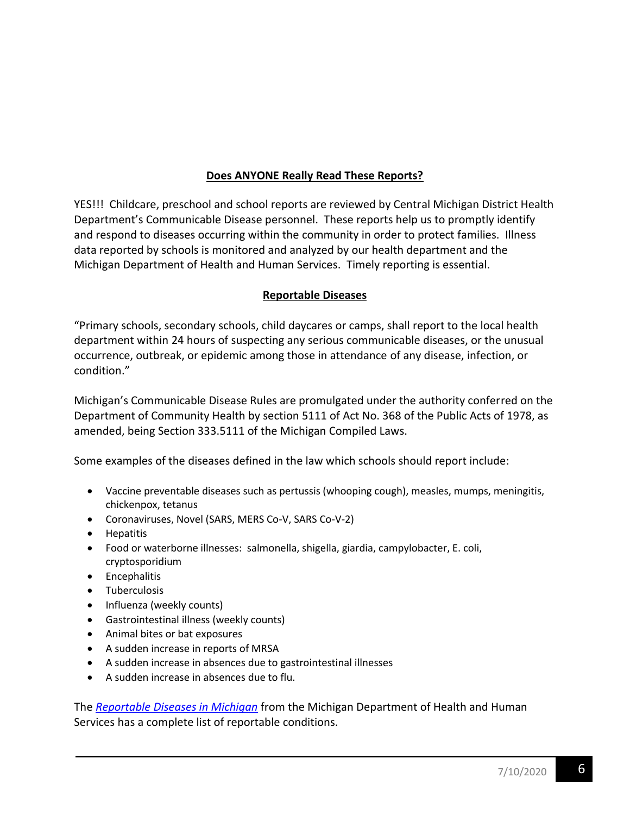## **Does ANYONE Really Read These Reports?**

YES!!! Childcare, preschool and school reports are reviewed by Central Michigan District Health Department's Communicable Disease personnel. These reports help us to promptly identify and respond to diseases occurring within the community in order to protect families. Illness data reported by schools is monitored and analyzed by our health department and the Michigan Department of Health and Human Services. Timely reporting is essential.

### **Reportable Diseases**

"Primary schools, secondary schools, child daycares or camps, shall report to the local health department within 24 hours of suspecting any serious communicable diseases, or the unusual occurrence, outbreak, or epidemic among those in attendance of any disease, infection, or condition."

Michigan's Communicable Disease Rules are promulgated under the authority conferred on the Department of Community Health by section 5111 of Act No. 368 of the Public Acts of 1978, as amended, being Section 333.5111 of the Michigan Compiled Laws.

Some examples of the diseases defined in the law which schools should report include:

- Vaccine preventable diseases such as pertussis (whooping cough), measles, mumps, meningitis, chickenpox, tetanus
- Coronaviruses, Novel (SARS, MERS Co-V, SARS Co-V-2)
- Hepatitis
- Food or waterborne illnesses: salmonella, shigella, giardia, campylobacter, E. coli, cryptosporidium
- Encephalitis
- Tuberculosis
- Influenza (weekly counts)
- Gastrointestinal illness (weekly counts)
- Animal bites or bat exposures
- A sudden increase in reports of MRSA
- A sudden increase in absences due to gastrointestinal illnesses
- A sudden increase in absences due to flu.

The *Reportable [Diseases in Michigan](https://www.michigan.gov/documents/mdch/Reportable_Diseases_Michigan_by_Pathogen_478489_7.pdf)* from the Michigan Department of Health and Human Services has a complete list of reportable conditions.